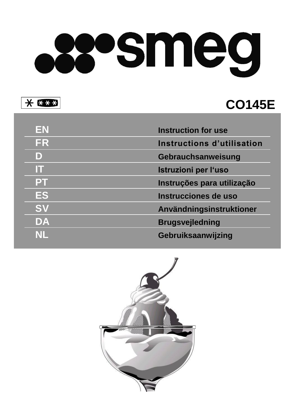# someg

 $* * * *$ 

# **C O145E**

| EN        | <b>Instruction for use</b> |
|-----------|----------------------------|
| <b>FR</b> | Instructions d'utilisation |
| D         | Gebrauchsanweisung         |
| m         | Istruzioni per l'uso       |
| PT        | Instruções para utilização |
| ES        | Instrucciones de uso       |
| <b>SV</b> | Användningsinstruktioner   |
| DA        | <b>Brugsvejledning</b>     |
| NII       | Gebruiksaanwijzing         |

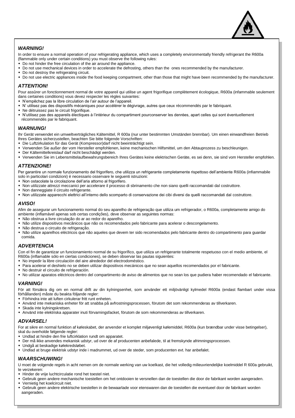

### *WARNING!*

In order to ensure a normal operation of your refrigerating appliance, which uses a completely environmentally friendly refrigerant the R600a (flammable only under certain conditions) you must observe the following rules:

- Do not hinder the free circulation of the air around the appliance.
- Do not use mechanical devices in order to accelerate the defrosting, others than the ones recommended by the manufacturer.
- Do not destroy the refrigerating circuit.
- Do not use electric appliances inside the food keeping compartment, other than those that might have been recommended by the manufacturer.

### *ATTENTION!*

Pour assûrer un fonctionnement normal de votre appareil qui utilise un agent frigorifique complètement écologique, R600a (infammable seulement dans certaines conditions) vous devez respecter les règles suivantes:

- N'empêchez pas la libre circulation de l'air autour de l'appareil.
- N' utilisez pas des dispositifs mécaniques pour accélérer le dégivrage, autres que ceux récommendés par le fabriquant.
- Ne détruissez pas le circuit frigorifique.
- N'utilisez pas des appareils électiques à l'intérieur du compartiment pourconserver les denrées, apart celles qui sont éventuellement récommendés par le fabriquant.

### *WARNUNG!*

Ihr Gerät verwendet ein umweltverträgliches Kältemittel, R 600a (nur unter bestimmten Umständen brennbar). Um einen einwandfreien Betrieb Ihres Gerätes sicherzustellen, beachten Sie bitte folgende Vorschriften:

- Die Luftzirkulation für das Gerät (Kompressor)darf nicht beeinträchtigt sein.
- Verwenden Sie außer der vom Hersteller empfohlenen, keine mechanischen Hilfsmittel, um den Abtauprozess zu beschleunigen.
- Der Kältemittelkreislauf darf nicht beschädigt werden.
- Verwenden Sie im Lebensmittelaufbewahrungsbereich Ihres Gerätes keine elektrischen Geräte, es sei denn, sie sind vom Hersteller empfohlen.

### *ATTENZIONE!*

Per garantire un normale funzionamento del frigorifero, che utilizza un refrigerante completamente rispettoso dell'ambiente R600a (infiammabile solo in particolari condizioni) è necessario osservare le seguenti istruzioni:

- Non ostacolate la circolazione dell'aria attorno al frigorifero.
- Non utilizzate attrezzi meccanici per accelerare il processo di sbrinamento che non siano quelli raccomandati dal costruttore.
- Non danneggiate il circuito refrigerante.
- Non utilizzate apparecchi elettrici all'interno dello scomparto di conservazione dei cibi diversi da quelli raccomandati dal costruttore.

### *AVISO!*

Afim de assegurar um funcionamento normal do seu aparelho de refrigeração que utiliza um refrigerador, o R600a, completamente amigo do ambiente (inflamável apenas sob certas condições), deve observar as seguintes normas:

- Não obstrua a livre circulação do ar ao redor do aparelho.
- Não utilize dispositivos mecânicos que não os recomendados pelo fabricante para acelerar o descongelamento.
- Não destrua o circuito de refrigeração.
- Não utilize aparelhos eléctricos que não aqueles que devem ter sido recomendados pelo fabricante dentro do compartimento para guardar comida.

### *ADVERTENCIA*

Con el fin de garantizar un funcionamiento normal de su frigorífico, que utiliza un refrigerante totalmente respetuoso con el medio ambiente, el R600a (inflamable sólo en ciertas condiciones), se deben observar las pautas siguientes:

- No impedir la libre circulación del aire alrededor del electrodoméstico.
- Para acelerar el deshielo no se deben utilizar dispositivos mecánicos que no sean aquellos recomendados por el fabricante.
- No destruir el circuito de refrigeración.
- No utilizar aparatos eléctricos dentro del compartimento de aviso de alimentos que no sean los que pudiera haber recomendado el fabricante.

### *VARNING!*

För att försäkra dig om en normal drift av din kylningsenhet, som använder ett miljövänligt kylmedel R600a (endast flambart under vissa förhållanden) måste du beakta följande regler:

- Förhindra inte att luften cirkulerar fritt runt enheten.
- Använd inte mekaniska enheter för att snabba på avfrostningsprocessen, förutom det som rekommenderas av tillverkaren.
- Skada inte kylningskretsen.
- Använd inte elektriska apparater inuti förvarningsfacket, förutom de som rekommenderas av tillverkaren.

### *ADVARSEL!*

For at sikre en normal funktion af køleskabet, der anvender et komplet miljøvenligt kølemiddel, R600a (kun brændbar under visse betingelser), skal du overholde følgende regler:

- Undlad at hindre den frie luftcirklation rundt om apparatet.
- Der må ikke anvendes mekanisk udstyr, ud over de af producenten anbefalede, til at fremskynde afrimningsprocessen.
- Undgå at beskadige kølekredsløbet.
- Undlad at bruge elektrisk udstyr inde i madrummet, ud over de steder, som producenten evt. har anbefalet.

### *WAARSCHUWING!*

U moet de volgende regels in acht nemen om de normale werking van uw koelkast, die het volledig milieuvriendelijke koelmiddel R 600a gebruikt, te verzekeren:

- Hinder de vrije luchtcirculatie rond het toestel niet.
- Gebruik geen andere mechanische toestellen om het ontdooien te versnellen dan de toestellen die door de fabrikant worden aangeraden.
- Vernietig het koelcircuit niet.
- Gebruik geen andere elektrische toestellen in de bewaarlade voor etenswaren dan de toestellen die eventueel door de fabrikant worden aangeraden.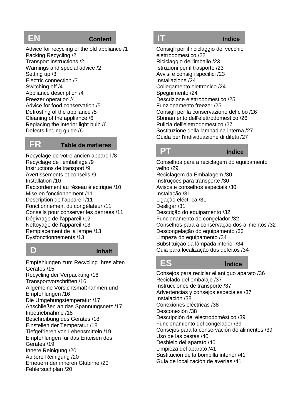# **EN Content**

Advice for recycling of the old appliance /1 Packing Recycling /2 Transport instructions /2 Warnings and special advice /2 Setting up /3 Electric connection /3 Switching off /4 Appliance description /4 Freezer operation /4 Advice for food conservation /5 Defrosting of the appliance /5 Cleaning of the appliance /6 Replacing the interior light bulb /6 Defects finding guide /6

### **FR Table de matieres**

Recyclage de votre ancien appareil /8 Recyclage de l'emballage /9 Instructions de transport /9 Avertissements et conseils /9 Installation /10 Raccordement au réseau électrique /10 Mise en fonctionnement /11 Description de l'appareil /11 Fonctionnement du congélateur /11 Conseils pour conserver les denrées /11 Dégivrage de l'appareil /12 Nettoyage de l'appareil /13 Remplacement de la lampe /13 Dysfonctionnements /13

# **D Inhalt**

Empfehlungen zum Recycling Ihres alten Gerätes /15 Recycling der Verpackung /16 Transportvorschriften /16 Allgemeine Vorsichtsmaßnahmen und Empfehlungen /16 Die Umgebungstemperatur /17 Anschließen an das Spannungsnetz /17 Inbetriebnahme /18 Beschreibung des Gerätes /18 Einstellen der Temperatur /18 Tiefgefrieren von Lebensmitteln /19 Empfehlungen für das Enteisen des Gerätes /19 Innere Reinigung /20 Äußere Reinigung /20 Erneuern der inneren Glübirne /20 Fehlersuchplan /20

**IT Indice**

Consigli per il riciclaggio del vecchio elettrodomestico /22 Riciclaggio dell'imballo /23 Istruzioni per il trasporto /23 Avvisi e consigli specifici /23 Installazione /24 Collegamento elettronico /24 Spegnimento /24 Descrizione elettrodomestico /25 Funzionamento freezer /25 Consigli per la conservazione del cibo /26 Sbrinamento dell'elettrodomestico /26 Pulizia dell'elettrodomestico /27 Sostituzione della lampadina interna /27 Guida per l'individuazione di difetti /27

# **PT Índice**

Conselhos para a reciclagem do equipamento velho /29 Reciclagem da Embalagem /30 Instruções para transporte /30 Avisos e conselhos especiais /30 Instalação /31 Ligação eléctrica /31 Desligar /31 Descrição do equipamento /32 Funcionamento do congelador /32 Conselhos para a conservação dos alimentos /32 Descongelação do equipamento /33 Limpeza do equipamento /34 Substituição da lâmpada interior /34 Guia para localização dos defeitos /34

**ES Índice**

Consejos para reciclar el antiguo aparato /36 Reciclado del embalaje /37 Instrucciones de transporte /37 Advertencias y consejos especiales /37 Instalación /38 Conexiones eléctricas /38 Desconexión /38 Descripción del electrodoméstico /39 Funcionamiento del congelador /39 Consejos para la conservación de alimentos /39 Uso de las cestas /40 Deshielo del aparato /40 Limpieza del aparato /41 Sustitución de la bombilla interior /41 Guía de localización de averías /41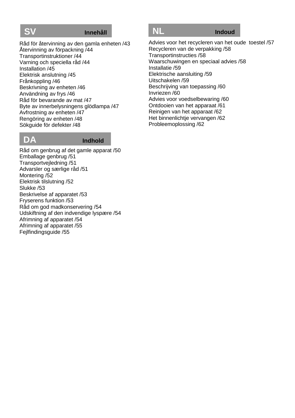### **SV Innehåll**

Råd för återvinning av den gamla enheten /43 Återvinning av förpackning /44 Transportinstruktioner /44 Varning och speciella råd /44 Installation /45 Elektrisk anslutning /45 Frånkoppling /46 Beskrivning av enheten /46 Användning av frys /46 Råd för bevarande av mat /47 Byte av innerbelysningens glödlampa /47 Avfrostning av enheten /47 Rengöring av enheten /48 Sökguide för defekter /48

### **DA Indhold**

Råd om genbrug af det gamle apparat /50 Emballage genbrug /51 Transportvejledning /51 Advarsler og særlige råd /51 Montering /52 Elektrisk tilslutning /52 Slukke /53 Beskrivelse af apparatet /53 Fryserens funktion /53 Råd om god madkonservering /54 Udskiftning af den indvendige lyspære /54 Afrimning af apparatet /54 Afrimning af apparatet /55 Fejlfindingsguide /55

# **NL Indoud**

Advies voor het recycleren van het oude toestel /57 Recycleren van de verpakking /58 Transportinstructies /58 Waarschuwingen en speciaal advies /58 Installatie /59 Elektrische aansluiting /59 Uitschakelen /59 Beschrijving van toepassing /60 Invriezen /60 Advies voor voedselbewaring /60 Ontdooien van het apparaat /61 Reinigen van het apparaat /62 Het binnenlichtje vervangen /62 Probleemoplossing /62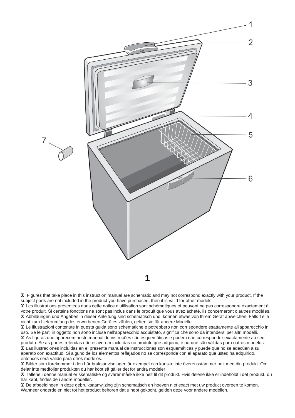

Figures that take place in this instruction manual are schematic and may not correspond exactly with your product. If the subject parts are not included in the product you have purchased, then it is valid for other models.

Les illustrations présentées dans cette notice d'utilisation sont schématiques et peuvent ne pas correspondre exactement à votre produit. Si certains fonctions ne sont pas inclus dans le produit que vous avez acheté, ils concerneront d'autres modèles. Abbildungen und Angaben in dieser Anleitung sind schematisch und können etwas von Ihrem Gerät abweichen. Falls Teile nicht zum Lieferumfang des erworbenen Gerätes zählen, gelten sie für andere Modelle.

Le illustrazioni contenute in questa guida sono schematiche e potrebbero non corrispondere esattamente all'apparecchio in uso. Se le parti in oggetto non sono incluse nell'apparecchio acquistato, significa che sono da intendersi per altri modelli. As figuras que aparecem neste manual de instruções são esquemáticas e podem não corresponder exactamente ao seu produto. Se as partes referidas não estiverem incluídas no produto que adquiriu, é porque são válidas para outros modelos. Las ilustraciones incluidas en el presente manual de instrucciones son esquemáticas y puede que no se adecúen a su aparato con exactitud. Si alguno de los elementos reflejados no se corresponde con el aparato que usted ha adquirido, entonces será válido para otros modelos.

Bilder som förekommer i den här bruksanvisningen är exempel och kanske inte överensstämmer helt med din produkt. Om delar inte medföljer produkten du har köpt så gäller det för andra modeler

Tallene i denne manual er skematiske og svarer måske ikke helt til dit produkt. Hvis delene ikke er indeholdt i det produkt, du har købt, findes de i andre modeller.

De afbeeldingen in deze gebruiksaanwijzing zijn schematisch en hoeven niet exact met uw product overeen te komen. Wanneer onderdelen niet tot het product behoren dat u hebt gekocht, gelden deze voor andere modellen.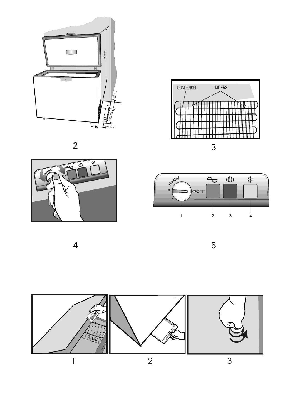







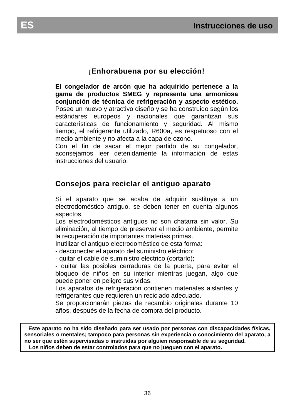# **¡Enhorabuena por su elección!**

**El congelador de arcón que ha adquirido pertenece a la gama de productos SMEG y representa una armoniosa conjunción de técnica de refrigeración y aspecto estético.** Posee un nuevo y atractivo diseño y se ha construido según los estándares europeos y nacionales que garantizan sus características de funcionamiento y seguridad. Al mismo tiempo, el refrigerante utilizado, R600a, es respetuoso con el medio ambiente y no afecta a la capa de ozono.

Con el fin de sacar el mejor partido de su congelador, aconsejamos leer detenidamente la información de estas instrucciones del usuario.

# **Consejos para reciclar el antiguo aparato**

Si el aparato que se acaba de adquirir sustituye a un electrodoméstico antiguo, se deben tener en cuenta algunos aspectos.

Los electrodomésticos antiguos no son chatarra sin valor. Su eliminación, al tiempo de preservar el medio ambiente, permite la recuperación de importantes materias primas.

Inutilizar el antiguo electrodoméstico de esta forma:

- desconectar el aparato del suministro eléctrico;

- quitar el cable de suministro eléctrico (cortarlo);

- quitar las posibles cerraduras de la puerta, para evitar el bloqueo de niños en su interior mientras juegan, algo que puede poner en peligro sus vidas.

Los aparatos de refrigeración contienen materiales aislantes y refrigerantes que requieren un reciclado adecuado.

Se proporcionarán piezas de recambio originales durante 10 años, después de la fecha de compra del producto.

**Este aparato no ha sido diseñado para ser usado por personas con discapacidades físicas, sensoriales o mentales; tampoco para personas sin experiencia o conocimiento del aparato, a no ser que estén supervisadas o instruidas por alguien responsable de su seguridad. Los niños deben de estar controlados para que no jueguen con el aparato.**

ľ

ľ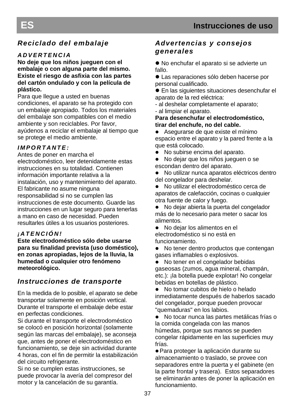I

# *Reciclado del embalaje*

# *A D V E R T E N C I A*

**No deje que los niños jueguen con el embalaje o con alguna parte del mismo. Existe el riesgo de asfixia con las partes del cartón ondulado y con la película de plástico.**

Para que llegue a usted en buenas condiciones, el aparato se ha protegido con un embalaje apropiado. Todos los materiales del embalaje son compatibles con el medio ambiente y son reciclables. Por favor, ayúdenos a reciclar el embalaje al tiempo que se protege el medio ambiente.

# *I M P O R T A N T E :*

Antes de poner en marcha el electrodoméstico, leer detenidamente estas instrucciones en su totalidad. Contienen información importante relativa a la instalación, uso y mantenimiento del aparato. El fabricante no asume ninguna responsabilidad si no se cumplen las instrucciones de este documento. Guarde las instrucciones en un lugar seguro para tenerlas a mano en caso de necesidad. Pueden resultarles útiles a los usuarios posteriores.

# *¡ A T E N C I Ó N !*

**Este electrodoméstico sólo debe usarse para su finalidad prevista (uso doméstico), en zonas apropiadas, lejos de la lluvia, la humedad o cualquier otro fenómeno meteorológico.**

# *Instrucciones de transporte*

En la medida de lo posible, el aparato se debe transportar solamente en posición vertical. Durante el transporte el embalaje debe estar en perfectas condiciones.

Si durante el transporte el electrodoméstico se colocó en posición horizontal (solamente según las marcas del embalaje), se aconseja que, antes de poner el electrodoméstico en funcionamiento, se deje sin actividad durante 4 horas, con el fin de permitir la estabilización del circuito refrigerante.

Si no se cumplen estas instrucciones, se puede provocar la avería del compresor del motor y la cancelación de su garantía.

# *Advertencias y consejos generales*

 No enchufar el aparato si se advierte un fallo.

 Las reparaciones sólo deben hacerse por personal cualificado.

 En las siguientes situaciones desenchufar el aparato de la red eléctrica:

- al deshelar completamente el aparato;

- al limpiar el aparato.

**Para desenchufar el electrodoméstico, tirar del enchufe, no del cable.**

 Asegurarse de que existe el mínimo espacio entre el aparato y la pared frente a la que está colocado.

• No subirse encima del aparato.

 No dejar que los niños jueguen o se escondan dentro del aparato.

 No utilizar nunca aparatos eléctricos dentro del congelador para deshelar.

 No utilizar el electrodoméstico cerca de aparatos de calefacción, cocinas o cualquier otra fuente de calor y fuego.

 No dejar abierta la puerta del congelador más de lo necesario para meter o sacar los alimentos.

 No dejar los alimentos en el electrodoméstico si no está en funcionamiento.

• No tener dentro productos que contengan gases inflamables o explosivos.

 No tener en el congelador bebidas gaseosas (zumos, agua mineral, champán, etc.): ¡la botella puede explotar! No congelar bebidas en botellas de plástico.

• No tomar cubitos de hielo o helado inmediatamente después de haberlos sacado del congelador, porque pueden provocar "quemaduras" en los labios.

 No tocar nunca las partes metálicas frías o la comida congelada con las manos húmedas, porque sus manos se pueden congelar rápidamente en las superficies muy frías.

Para proteger la aplicación durante su almacenamiento o traslado, se provee con separadores entre la puerta y el gabinete (en la parte frontal y trasera). Estos separadores se eliminarán antes de poner la aplicación en funcionamiento.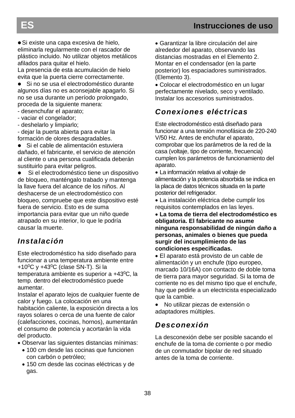Si existe una capa excesiva de hielo, eliminarla regularmente con el rascador de plástico incluido. No utilizar objetos metálicos afilados para quitar el hielo.

La presencia de esta acumulación de hielo evita que la puerta cierre correctamente.

 Si no se usa el electrodoméstico durante algunos días no es aconsejable apagarlo. Si no se usa durante un período prolongado, proceda de la siguiente manera:

- desenchufar el aparato;

- vaciar el congelador;

- deshelarlo y limpiarlo;

- dejar la puerta abierta para evitar la formación de olores desagradables.

 Si el cable de alimentación estuviera dañado, el fabricante, el servicio de atención al cliente o una persona cualificada deberán sustituirlo para evitar peligros.

 Si el electrodoméstico tiene un dispositivo de bloqueo, manténgalo trabado y mantenga la llave fuera del alcance de los niños. Al deshacerse de un electrodoméstico con bloqueo, compruebe que este dispositivo esté fuera de servicio. Esto es de suma importancia para evitar que un niño quede atrapado en su interior, lo que le podría causar la muerte.

# *Instalación*

Este electrodoméstico ha sido diseñado para funcionar a una temperatura ambiente entre +10 $^{\circ}$ C y +43 $^{\circ}$ C (clase SN-T). Si la temperatura ambiente es superior a +43<sup>0</sup>C, la temp. dentro del electrodoméstico puede aumentar.

Instalar el aparato lejos de cualquier fuente de calor y fuego. La colocación en una habitación caliente, la exposición directa a los rayos solares o cerca de una fuente de calor (calefacciones, cocinas, hornos), aumentarán el consumo de potencia y acortarán la vida del producto.

- Observar las siguientes distancias mínimas:
	- 100 cm desde las cocinas que funcionen con carbón o petróleo;
	- 150 cm desde las cocinas eléctricas y de gas.

 Garantizar la libre circulación del aire alrededor del aparato, observando las distancias mostradas en el Elemento 2. Montar en el condensador (en la parte posterior) los espaciadores suministrados. (Elemento 3).

 Colocar el electrodoméstico en un lugar perfectamente nivelado, seco y ventilado. Instalar los accesorios suministrados.

# *Conexiones eléctricas*

Este electrodoméstico está diseñado para funcionar a una tensión monofásica de 220-240 V/50 Hz. Antes de enchufar el aparato, comprobar que los parámetros de la red de la casa (voltaje, tipo de corriente, frecuencia) cumplen los parámetros de funcionamiento del aparato.

 La información relativa al voltaje de alimentación y la potencia absorbida se indica en la placa de datos técnicos situada en la parte posterior del refrigerador.

 La instalación eléctrica debe cumplir los requisitos contemplados en las leyes.

 **La toma de tierra del electrodoméstico es obligatoria. El fabricante no asume ninguna responsabilidad de ningún daño a personas, animales o bienes que pueda surgir del incumplimiento de las condiciones especificadas.**

 El aparato está provisto de un cable de alimentación y un enchufe (tipo europeo, marcado 10/16A) con contacto de doble toma de tierra para mayor seguridad. Si la toma de corriente no es del mismo tipo que el enchufe, hay que pedirle a un electricista especializado que la cambie.

 No utilizar piezas de extensión o adaptadores múltiples.

# *Desconexión*

La desconexión debe ser posible sacando el enchufe de la toma de corriente o por medio de un conmutador bipolar de red situado antes de la toma de corriente.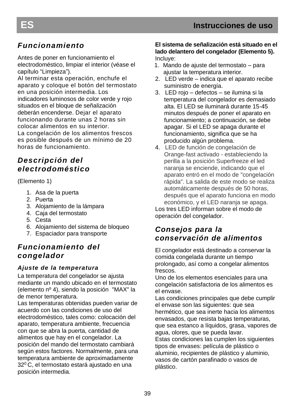# *Funcionamiento*

Antes de poner en funcionamiento el electrodoméstico, limpiar el interior (véase el capítulo "Limpieza").

Al terminar esta operación, enchufe el aparato y coloque el botón del termostato en una posición intermedia. Los indicadores luminosos de color verde y rojo situados en el bloque de señalización deberán encenderse. Dejar el aparato funcionando durante unas 2 horas sin colocar alimentos en su interior. La congelación de los alimentos frescos es posible después de un mínimo de 20 horas de funcionamiento.

# *Descripción del electrodoméstico*

(Elemento 1)

- 1. Asa de la puerta
- 2. Puerta
- 3. Alojamiento de la lámpara
- 4. Caja del termostato
- 5. Cesta
- 6. Alojamiento del sistema de bloqueo
- 7. Espaciador para transporte

# *Funcionamiento del congelador*

# *Ajuste de la temperatura*

La temperatura del congelador se ajusta mediante un mando ubicado en el termostato (elemento nº 4), siendo la posición "MAX" la de menor temperatura.

Las temperaturas obtenidas pueden variar de acuerdo con las condiciones de uso del electrodoméstico, tales como: colocación del aparato, temperatura ambiente, frecuencia con que se abra la puerta, cantidad de alimentos que hay en el congelador. La posición del mando del termostato cambiará según estos factores. Normalmente, para una temperatura ambiente de aproximadamente 32<sup>0</sup>C, el termostato estará ajustado en una posición intermedia.

### **El sistema de señalización está situado en el lado delantero del congelador (Elemento 5).** Incluye:

- 1. Mando de ajuste del termostato para ajustar la temperatura interior.
- 2. LED verde indica que el aparato recibe suministro de energía.
- 3. LED rojo defectos se ilumina si la temperatura del congelador es demasiado alta. El LED se iluminará durante 15-45 minutos después de poner el aparato en funcionamiento; a continuación, se debe apagar. Si el LED se apaga durante el funcionamiento, significa que se ha producido algún problema.
- 4. LED de función de congelación de Orange-fast activado - estableciendo la perilla a la posición Superfreeze el led naranja se enciende, indicando que el aparato entró en el modo de "congelación rápida". La salida de este modo se realiza automáticamente después de 50 horas, después que el aparato funciona en modo económico, y el LED naranja se apaga. Los tres LED informan sobre el modo de

operación del congelador.

# *Consejos para la conservación de alimentos*

El congelador está destinado a conservar la comida congelada durante un tiempo prolongado, así como a congelar alimentos frescos.

Uno de los elementos esenciales para una congelación satisfactoria de los alimentos es el envase.

Las condiciones principales que debe cumplir el envase son las siguientes: que sea hermético, que sea inerte hacia los alimentos envasados, que resista bajas temperaturas, que sea estanco a líquidos, grasa, vapores de agua, olores, que se pueda lavar.

Estas condiciones las cumplen los siguientes tipos de envases: película de plástico o aluminio, recipientes de plástico y aluminio, vasos de cartón parafinado o vasos de plástico.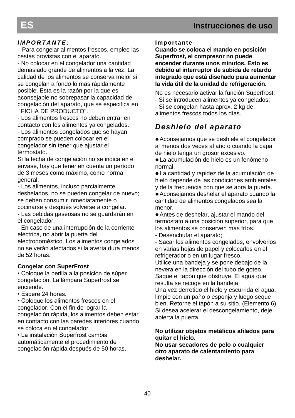### *I M P O R T A N T E :*

- Para congelar alimentos frescos, emplee las cestas provistas con el aparato.

- No colocar en el congelador una cantidad demasiado grande de alimentos a la vez. La calidad de los alimentos se conserva mejor si se congelan a fondo lo más rápidamente posible. Esta es la razón por la que es aconsejable no sobrepasar la capacidad de congelación del aparato, que se especifica en " FICHA DE PRODUCTO".

- Los alimentos frescos no deben entrar en contacto con los alimentos ya congelados.

- Los alimentos congelados que se hayan comprado se pueden colocar en el congelador sin tener que ajustar el termostato.

Si la fecha de congelación no se indica en el envase, hay que tener en cuenta un período de 3 meses como máximo, como norma general.

- Los alimentos, incluso parcialmente deshelados, no se pueden congelar de nuevo; se deben consumir inmediatamente o cocinarse y después volverse a congelar.

- Las bebidas gaseosas no se guardarán en el congelador.

 eléctrica, no abrir la puerta del - En caso de una interrupción de la corriente

electrodoméstico. Los alimentos congelados no se verán afectados si la avería dura menos de 52 horas.

### **Congelar con SuperFrost**

• Coloque la perilla a la posición de súper congelación. La lámpara Superfrost se enciende.

• Espere 24 horas.

• Coloque los alimentos frescos en el congelador. Con el fin de lograr la congelación rápida, los alimentos deben estar en contacto con las paredes interiores cuando se coloca en el congelador.

• La instalación Superfrost cambia automáticamente el procedimiento de congelación rápida después de 50 horas.

### **Importante**

**Cuando se coloca el mando en posición Superfrost, el compresor no puede encender durante unos minutos. Esto es debido al interruptor de subida de retardo integrado que está diseñado para aumentar la vida útil de la unidad de refrigeración.**

No es necesario activar la función Superfrost:

- Si se introducen alimentos ya congelados;

- Si se congelan hasta aprox. 2 kg de alimentos frescos todos los días.

# *Deshielo del aparato*

Aconsejamos que se deshiele el congelador al menos dos veces al año o cuando la capa de hielo tenga un grosor excesivo.

La acumulación de hielo es un fenómeno normal.

La cantidad y rapidez de la acumulación de hielo depende de las condiciones ambientales y de la frecuencia con que se abra la puerta.

Aconsejamos deshelar el aparato cuando la cantidad de alimentos congelados sea la menor.

Antes de deshelar, ajustar el mando del termostato a una posición superior, para que los alimentos se conserven más fríos.

- Desenchufar el aparato;

- Sacar los alimentos congelados, envolverlos en varias hojas de papel y colocarlos en el refrigerador o en un lugar fresco.

Utilice una bandeja y se pone debajo de la nevera en la dirección del tubo de goteo. Saque el tapón que obstruye. El agua que resulta se recoge en la bandeja.

Una vez derretido el hielo y escurrida el agua, limpie con un paño o esponja y luego seque bien. Retorne el tapón a su sitio. (Elemento 6) Si desea acelerar el descongelamiento, deje abierta la puerta.

### **No utilizar objetos metálicos afilados para quitar el hielo.**

**No usar secadores de pelo o cualquier otro aparato de calentamiento para deshelar.**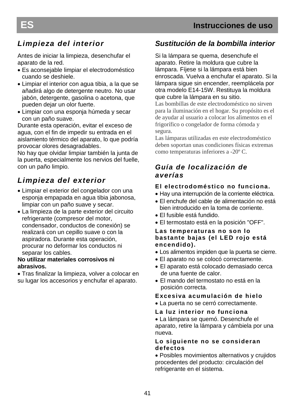# *Limpieza del interior*

Antes de iniciar la limpieza, desenchufar el aparato de la red.

- Es aconsejable limpiar el electrodoméstico cuando se deshiele.
- Limpiar el interior con agua tibia, a la que se añadirá algo de detergente neutro. No usar jabón, detergente, gasolina o acetona, que pueden dejar un olor fuerte.
- Limpiar con una esponja húmeda y secar con un paño suave.

Durante esta operación, evitar el exceso de agua, con el fin de impedir su entrada en el aislamiento térmico del aparato, lo que podría provocar olores desagradables.

No hay que olvidar limpiar también la junta de la puerta, especialmente los nervios del fuelle, con un paño limpio.

# *Limpieza del exterior*

- Limpiar el exterior del congelador con una esponja empapada en agua tibia jabonosa, limpiar con un paño suave y secar.
- La limpieza de la parte exterior del circuito refrigerante (compresor del motor, condensador, conductos de conexión) se realizará con un cepillo suave o con la aspiradora. Durante esta operación, procurar no deformar los conductos ni separar los cables.

### **No utilizar materiales corrosivos ni abrasivos.**

 Tras finalizar la limpieza, volver a colocar en su lugar los accesorios y enchufar el aparato.

# *Sustitución de la bombilla interior*

Si la lámpara se quema, desenchufe el aparato. Retire la moldura que cubre la lámpara. Fíjese si la lámpara está bien enroscada. Vuelva a enchufar el aparato. Si la lámpara sigue sin encender, reemplácela por otra modelo E14-15W. Restituya la moldura que cubre la lámpara en su sitio.

Las bombillas de este electrodoméstico no sirven para la iluminación en el hogar. Su propósito es el de ayudar al usuario a colocar los alimentos en el frigorífico o congelador de forma cómoda y segura.

Las lámparas utilizadas en este electrodoméstico deben soportan unas condiciones físicas extremas como temperaturas inferiores a -20º C.

# *Guía de localización de averías*

# **El electrodoméstico no funciona.**

- Hay una interrupción de la corriente eléctrica.
- El enchufe del cable de alimentación no está bien introducido en la toma de corriente.
- El fusible está fundido.
- El termostato está en la posición "OFF".

### **Las temperaturas no son lo bastante bajas (el LED rojo está encendido).**

- Los alimentos impiden que la puerta se cierre.
- El aparato no se colocó correctamente.
- El aparato está colocado demasiado cerca de una fuente de calor.
- El mando del termostato no está en la posición correcta.

### **Excesiva acumulación de hielo**

- La puerta no se cerró correctamente.
- **La luz interior no funciona**

 La lámpara se quemó. Desenchufe el aparato, retire la lámpara y cámbiela por una nueva.

### **Lo siguiente no se consideran defectos**

 Posibles movimientos alternativos y crujidos procedentes del producto: circulación del refrigerante en el sistema.